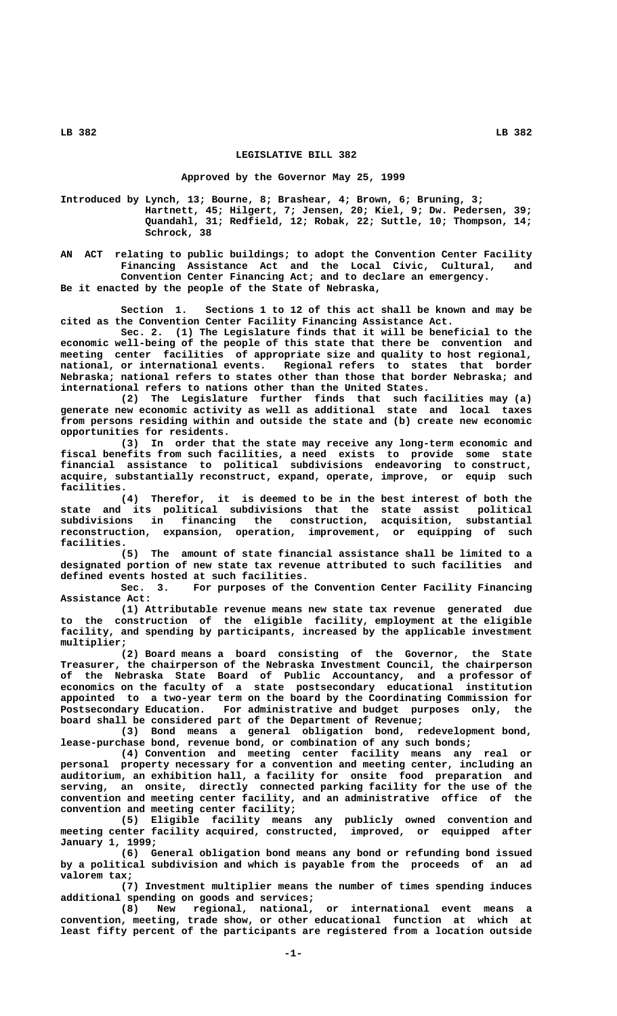## **LEGISLATIVE BILL 382**

## **Approved by the Governor May 25, 1999**

**Introduced by Lynch, 13; Bourne, 8; Brashear, 4; Brown, 6; Bruning, 3; Hartnett, 45; Hilgert, 7; Jensen, 20; Kiel, 9; Dw. Pedersen, 39; Quandahl, 31; Redfield, 12; Robak, 22; Suttle, 10; Thompson, 14; Schrock, 38**

**AN ACT relating to public buildings; to adopt the Convention Center Facility Financing Assistance Act and the Local Civic, Cultural, and Convention Center Financing Act; and to declare an emergency. Be it enacted by the people of the State of Nebraska,**

**Section 1. Sections 1 to 12 of this act shall be known and may be cited as the Convention Center Facility Financing Assistance Act.**

**Sec. 2. (1) The Legislature finds that it will be beneficial to the economic well-being of the people of this state that there be convention and meeting center facilities of appropriate size and quality to host regional, national, or international events. Regional refers to states that border Nebraska; national refers to states other than those that border Nebraska; and international refers to nations other than the United States.**

**(2) The Legislature further finds that such facilities may (a) generate new economic activity as well as additional state and local taxes from persons residing within and outside the state and (b) create new economic opportunities for residents.**

**(3) In order that the state may receive any long-term economic and fiscal benefits from such facilities, a need exists to provide some state financial assistance to political subdivisions endeavoring to construct, acquire, substantially reconstruct, expand, operate, improve, or equip such facilities.**

**(4) Therefor, it is deemed to be in the best interest of both the state and its political subdivisions that the state assist political subdivisions in financing the construction, acquisition, substantial reconstruction, expansion, operation, improvement, or equipping of such facilities.**

**(5) The amount of state financial assistance shall be limited to a designated portion of new state tax revenue attributed to such facilities and defined events hosted at such facilities.**

**Sec. 3. For purposes of the Convention Center Facility Financing Assistance Act:**

**(1) Attributable revenue means new state tax revenue generated due to the construction of the eligible facility, employment at the eligible facility, and spending by participants, increased by the applicable investment multiplier;**

**(2) Board means a board consisting of the Governor, the State Treasurer, the chairperson of the Nebraska Investment Council, the chairperson of the Nebraska State Board of Public Accountancy, and a professor of economics on the faculty of a state postsecondary educational institution appointed to a two-year term on the board by the Coordinating Commission for Postsecondary Education. For administrative and budget purposes only, the board shall be considered part of the Department of Revenue;**

**(3) Bond means a general obligation bond, redevelopment bond, lease-purchase bond, revenue bond, or combination of any such bonds;**

**(4) Convention and meeting center facility means any real or personal property necessary for a convention and meeting center, including an auditorium, an exhibition hall, a facility for onsite food preparation and serving, an onsite, directly connected parking facility for the use of the convention and meeting center facility, and an administrative office of the convention and meeting center facility;**

**(5) Eligible facility means any publicly owned convention and meeting center facility acquired, constructed, improved, or equipped after January 1, 1999;**

**(6) General obligation bond means any bond or refunding bond issued by a political subdivision and which is payable from the proceeds of an ad valorem tax;**

**(7) Investment multiplier means the number of times spending induces additional spending on goods and services;**

**(8) New regional, national, or international event means a convention, meeting, trade show, or other educational function at which at least fifty percent of the participants are registered from a location outside**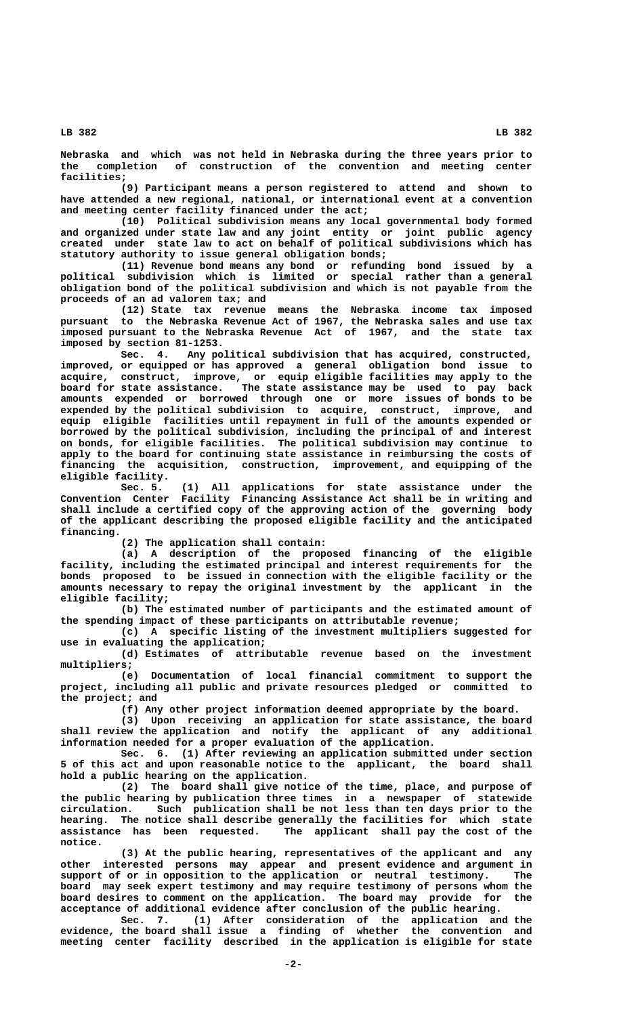**Nebraska and which was not held in Nebraska during the three years prior to the completion of construction of the convention and meeting center facilities;**

**(9) Participant means a person registered to attend and shown to have attended a new regional, national, or international event at a convention and meeting center facility financed under the act;**

**(10) Political subdivision means any local governmental body formed and organized under state law and any joint entity or joint public agency created under state law to act on behalf of political subdivisions which has statutory authority to issue general obligation bonds;**

**(11) Revenue bond means any bond or refunding bond issued by a political subdivision which is limited or special rather than a general obligation bond of the political subdivision and which is not payable from the proceeds of an ad valorem tax; and**

**(12) State tax revenue means the Nebraska income tax imposed pursuant to the Nebraska Revenue Act of 1967, the Nebraska sales and use tax imposed pursuant to the Nebraska Revenue Act of 1967, and the state tax imposed by section 81-1253.**

**Sec. 4. Any political subdivision that has acquired, constructed, improved, or equipped or has approved a general obligation bond issue to acquire, construct, improve, or equip eligible facilities may apply to the board for state assistance. The state assistance may be used to pay back amounts expended or borrowed through one or more issues of bonds to be expended by the political subdivision to acquire, construct, improve, and equip eligible facilities until repayment in full of the amounts expended or borrowed by the political subdivision, including the principal of and interest on bonds, for eligible facilities. The political subdivision may continue to apply to the board for continuing state assistance in reimbursing the costs of financing the acquisition, construction, improvement, and equipping of the eligible facility.**

**Sec. 5. (1) All applications for state assistance under the Convention Center Facility Financing Assistance Act shall be in writing and shall include a certified copy of the approving action of the governing body of the applicant describing the proposed eligible facility and the anticipated financing.**

**(2) The application shall contain:**

**(a) A description of the proposed financing of the eligible facility, including the estimated principal and interest requirements for the bonds proposed to be issued in connection with the eligible facility or the amounts necessary to repay the original investment by the applicant in the eligible facility;**

**(b) The estimated number of participants and the estimated amount of the spending impact of these participants on attributable revenue;**

**(c) A specific listing of the investment multipliers suggested for use in evaluating the application;**

**(d) Estimates of attributable revenue based on the investment multipliers;**

**(e) Documentation of local financial commitment to support the project, including all public and private resources pledged or committed to the project; and**

**(f) Any other project information deemed appropriate by the board.**

**(3) Upon receiving an application for state assistance, the board shall review the application and notify the applicant of any additional information needed for a proper evaluation of the application.**

**Sec. 6. (1) After reviewing an application submitted under section 5 of this act and upon reasonable notice to the applicant, the board shall hold a public hearing on the application.**

**(2) The board shall give notice of the time, place, and purpose of the public hearing by publication three times in a newspaper of statewide circulation. Such publication shall be not less than ten days prior to the hearing. The notice shall describe generally the facilities for which state** The applicant shall pay the cost of the  **notice.**

**(3) At the public hearing, representatives of the applicant and any other interested persons may appear and present evidence and argument in support of or in opposition to the application or neutral testimony. The board may seek expert testimony and may require testimony of persons whom the board desires to comment on the application. The board may provide for the acceptance of additional evidence after conclusion of the public hearing.**

**Sec. 7. (1) After consideration of the application and the evidence, the board shall issue a finding of whether the convention and meeting center facility described in the application is eligible for state**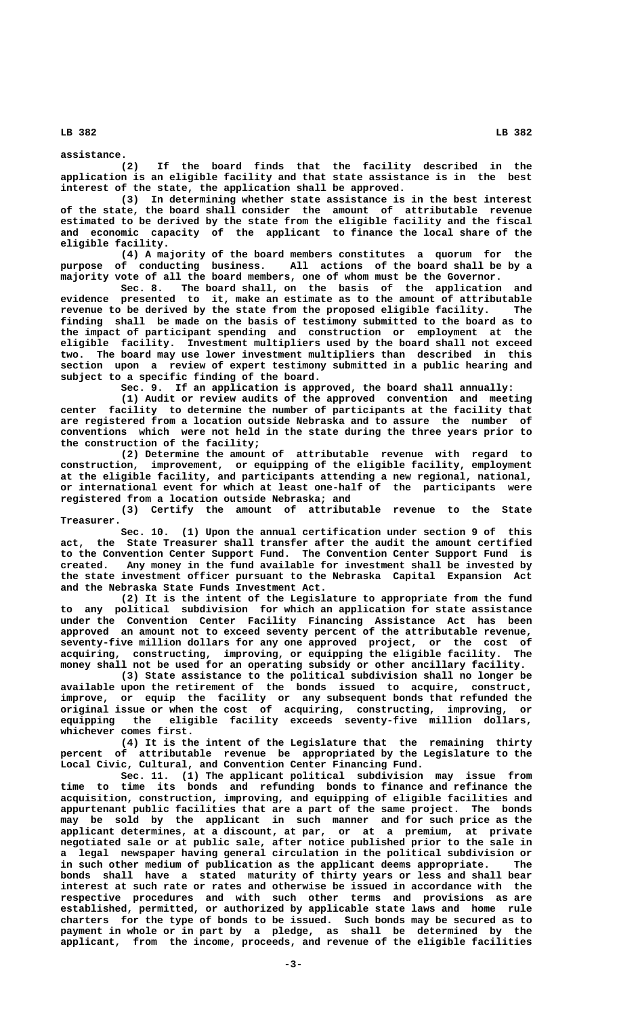**assistance. (2) If the board finds that the facility described in the application is an eligible facility and that state assistance is in the best interest of the state, the application shall be approved.**

**(3) In determining whether state assistance is in the best interest of the state, the board shall consider the amount of attributable revenue estimated to be derived by the state from the eligible facility and the fiscal and economic capacity of the applicant to finance the local share of the eligible facility.**

**(4) A majority of the board members constitutes a quorum for the purpose of conducting business. All actions of the board shall be by a majority vote of all the board members, one of whom must be the Governor.**

**Sec. 8. The board shall, on the basis of the application and evidence presented to it, make an estimate as to the amount of attributable revenue to be derived by the state from the proposed eligible facility. The finding shall be made on the basis of testimony submitted to the board as to the impact of participant spending and construction or employment at the eligible facility. Investment multipliers used by the board shall not exceed two. The board may use lower investment multipliers than described in this section upon a review of expert testimony submitted in a public hearing and subject to a specific finding of the board.**

**Sec. 9. If an application is approved, the board shall annually:**

**(1) Audit or review audits of the approved convention and meeting center facility to determine the number of participants at the facility that are registered from a location outside Nebraska and to assure the number of conventions which were not held in the state during the three years prior to the construction of the facility;**

**(2) Determine the amount of attributable revenue with regard to construction, improvement, or equipping of the eligible facility, employment at the eligible facility, and participants attending a new regional, national, or international event for which at least one-half of the participants were registered from a location outside Nebraska; and**

**(3) Certify the amount of attributable revenue to the State Treasurer.**

**Sec. 10. (1) Upon the annual certification under section 9 of this act, the State Treasurer shall transfer after the audit the amount certified to the Convention Center Support Fund. The Convention Center Support Fund is created. Any money in the fund available for investment shall be invested by the state investment officer pursuant to the Nebraska Capital Expansion Act and the Nebraska State Funds Investment Act.**

**(2) It is the intent of the Legislature to appropriate from the fund to any political subdivision for which an application for state assistance under the Convention Center Facility Financing Assistance Act has been approved an amount not to exceed seventy percent of the attributable revenue, seventy-five million dollars for any one approved project, or the cost of acquiring, constructing, improving, or equipping the eligible facility. The money shall not be used for an operating subsidy or other ancillary facility.**

**(3) State assistance to the political subdivision shall no longer be available upon the retirement of the bonds issued to acquire, construct, improve, or equip the facility or any subsequent bonds that refunded the original issue or when the cost of acquiring, constructing, improving, or equipping the eligible facility exceeds seventy-five million dollars, whichever comes first.**

**(4) It is the intent of the Legislature that the remaining thirty percent of attributable revenue be appropriated by the Legislature to the Local Civic, Cultural, and Convention Center Financing Fund.**

**Sec. 11. (1) The applicant political subdivision may issue from time to time its bonds and refunding bonds to finance and refinance the acquisition, construction, improving, and equipping of eligible facilities and appurtenant public facilities that are a part of the same project. The bonds may be sold by the applicant in such manner and for such price as the applicant determines, at a discount, at par, or at a premium, at private negotiated sale or at public sale, after notice published prior to the sale in a legal newspaper having general circulation in the political subdivision or in such other medium of publication as the applicant deems appropriate. The bonds shall have a stated maturity of thirty years or less and shall bear interest at such rate or rates and otherwise be issued in accordance with the respective procedures and with such other terms and provisions as are established, permitted, or authorized by applicable state laws and home rule charters for the type of bonds to be issued. Such bonds may be secured as to payment in whole or in part by a pledge, as shall be determined by the applicant, from the income, proceeds, and revenue of the eligible facilities**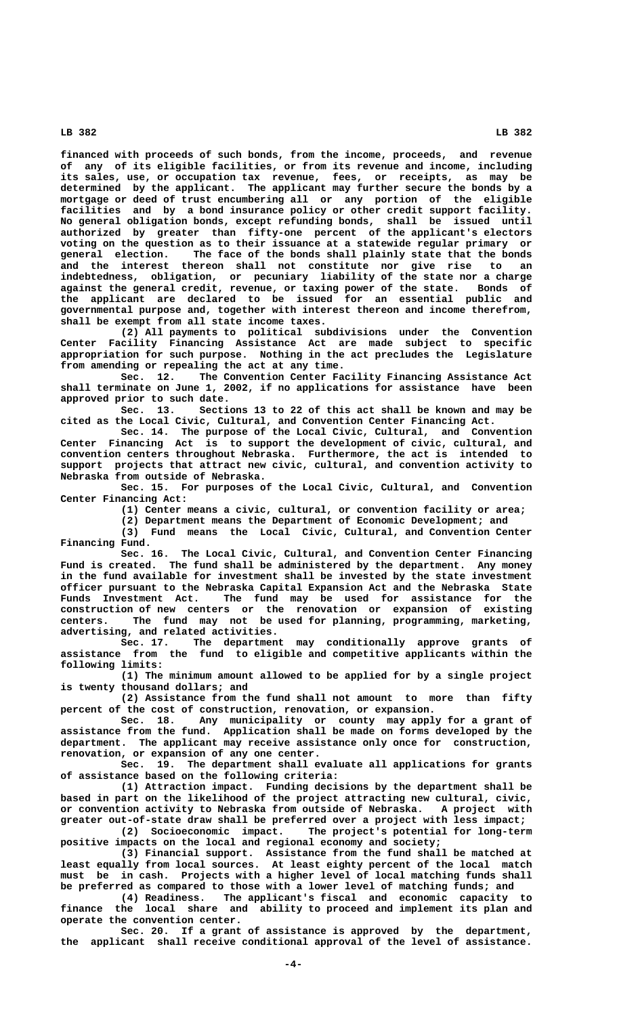**financed with proceeds of such bonds, from the income, proceeds, and revenue of any of its eligible facilities, or from its revenue and income, including its sales, use, or occupation tax revenue, fees, or receipts, as may be determined by the applicant. The applicant may further secure the bonds by a mortgage or deed of trust encumbering all or any portion of the eligible facilities and by a bond insurance policy or other credit support facility. No general obligation bonds, except refunding bonds, shall be issued until authorized by greater than fifty-one percent of the applicant's electors voting on the question as to their issuance at a statewide regular primary or general election. The face of the bonds shall plainly state that the bonds and the interest thereon shall not constitute nor give rise to an indebtedness, obligation, or pecuniary liability of the state nor a charge against the general credit, revenue, or taxing power of the state. Bonds of the applicant are declared to be issued for an essential public and governmental purpose and, together with interest thereon and income therefrom, shall be exempt from all state income taxes.**

**(2) All payments to political subdivisions under the Convention Center Facility Financing Assistance Act are made subject to specific appropriation for such purpose. Nothing in the act precludes the Legislature from amending or repealing the act at any time.**

**Sec. 12. The Convention Center Facility Financing Assistance Act shall terminate on June 1, 2002, if no applications for assistance have been approved prior to such date.**

**Sec. 13. Sections 13 to 22 of this act shall be known and may be cited as the Local Civic, Cultural, and Convention Center Financing Act.**

**Sec. 14. The purpose of the Local Civic, Cultural, and Convention Center Financing Act is to support the development of civic, cultural, and convention centers throughout Nebraska. Furthermore, the act is intended to support projects that attract new civic, cultural, and convention activity to Nebraska from outside of Nebraska.**

**Sec. 15. For purposes of the Local Civic, Cultural, and Convention Center Financing Act:**

**(1) Center means a civic, cultural, or convention facility or area;**

**(2) Department means the Department of Economic Development; and**

**(3) Fund means the Local Civic, Cultural, and Convention Center Financing Fund.**

**Sec. 16. The Local Civic, Cultural, and Convention Center Financing Fund is created. The fund shall be administered by the department. Any money in the fund available for investment shall be invested by the state investment officer pursuant to the Nebraska Capital Expansion Act and the Nebraska State Funds Investment Act. The fund may be used for assistance for the construction of new centers or the renovation or expansion of existing centers. The fund may not be used for planning, programming, marketing, advertising, and related activities.**

**Sec. 17. The department may conditionally approve grants of assistance from the fund to eligible and competitive applicants within the following limits:**

**(1) The minimum amount allowed to be applied for by a single project is twenty thousand dollars; and**

**(2) Assistance from the fund shall not amount to more than fifty percent of the cost of construction, renovation, or expansion.**

**Sec. 18. Any municipality or county may apply for a grant of assistance from the fund. Application shall be made on forms developed by the department. The applicant may receive assistance only once for construction, renovation, or expansion of any one center.**

**Sec. 19. The department shall evaluate all applications for grants of assistance based on the following criteria:**

**(1) Attraction impact. Funding decisions by the department shall be based in part on the likelihood of the project attracting new cultural, civic, or convention activity to Nebraska from outside of Nebraska. A project with greater out-of-state draw shall be preferred over a project with less impact;**

The project's potential for long-term **positive impacts on the local and regional economy and society;**

**(3) Financial support. Assistance from the fund shall be matched at least equally from local sources. At least eighty percent of the local match must be in cash. Projects with a higher level of local matching funds shall be preferred as compared to those with a lower level of matching funds; and**

**(4) Readiness. The applicant's fiscal and economic capacity to finance the local share and ability to proceed and implement its plan and operate the convention center.**

**Sec. 20. If a grant of assistance is approved by the department, the applicant shall receive conditional approval of the level of assistance.**